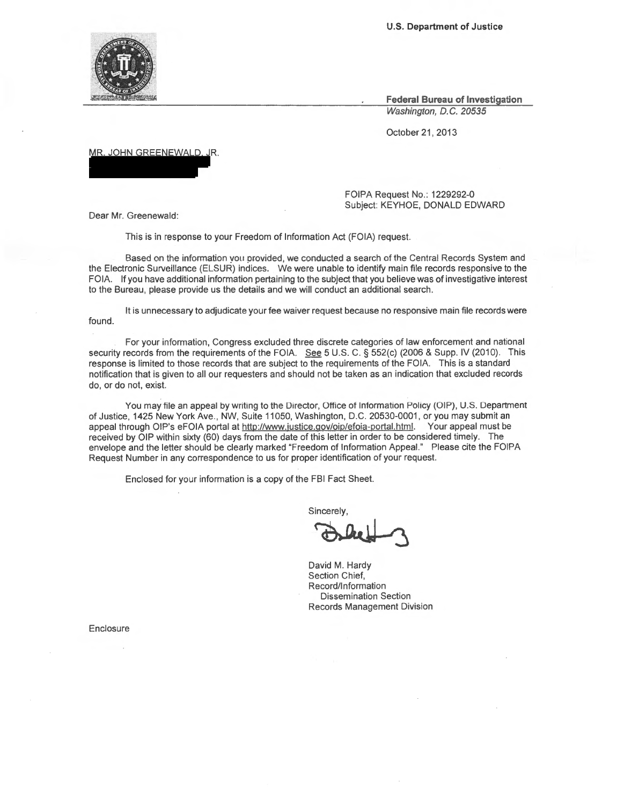**U.S. Department of Justice** 

**Federal Bureau of Investigation**  Washington, D.C. 20535

October 21, 2013

MR. JOHN GREENEWALD, JR.

FOIPA Request No.: 1229292-0 Subject: KEYHOE, DONALD EDWARD

Dear Mr. Greenewald:

This is in response to your Freedom of Information Act (FOIA) request.

Based on the information you provided, we conducted a search of the Central Records System and the Electronic Surveillance (ELSUR) indices. We were unable to identify main file records responsive to the FOIA. If you have additional information pertaining to the subject that you believe was of investigative interest to the Bureau, please provide us the details and we will conduct an additional search.

It is unnecessary to adjudicate your fee waiver request because no responsive main file records were found.

For your information, Congress excluded three discrete categories of law enforcement and national security records from the requirements of the FOIA. See 5 U.S. C. § 552(c) (2006 & Supp. IV (2010). This response is limited to those records that are subject to the requirements of the FOIA. This is a standard notification that is given to all our requesters and should not be taken as an indication that excluded records do, or do not, exist.

You may file an appeal by writing to the Director, Office of Information Policy (OIP), U.S. Department of Justice, 1425 New York Ave., NW, Suite 11050, Washington, D.C. 20530-0001, or you may submit an appeal through OIP's eFOIA portal at http://www.justice.gov/oip/efoia-portal.html. Your appeal must be received by OIP within sixty (60) days from the date of this letter in order to be considered timely. The envelope and the letter should be clearly marked "Freedom of Information Appeal." Please cite the FOIPA Request Number in any correspondence to us for proper identification of your request.

Enclosed for your information is a copy of the FBI Fact Sheet.

Sincerely,

s~~

David M. Hardy Section Chief, Record/Information Dissemination Section Records Management Division

Enclosure